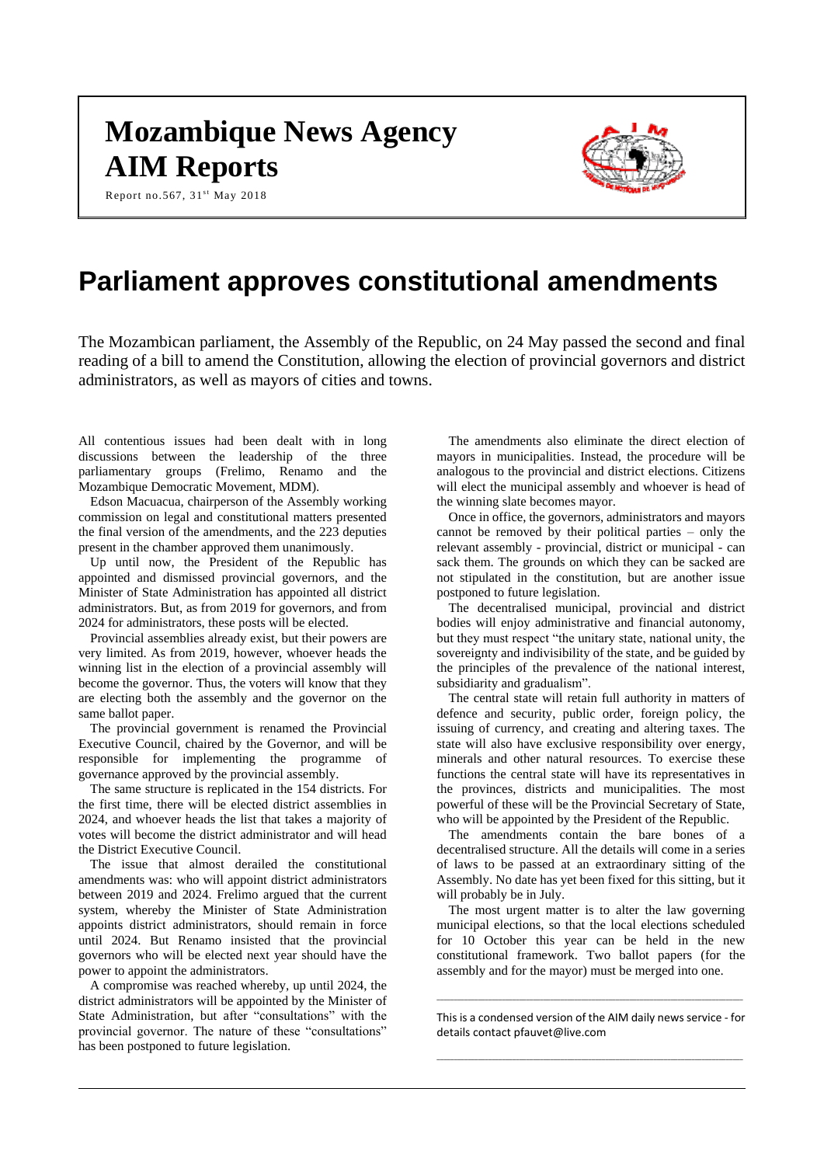# **Mozambique News Agency AIM Reports**





# **Parliament approves constitutional amendments**

The Mozambican parliament, the Assembly of the Republic, on 24 May passed the second and final reading of a bill to amend the Constitution, allowing the election of provincial governors and district administrators, as well as mayors of cities and towns.

All contentious issues had been dealt with in long discussions between the leadership of the three parliamentary groups (Frelimo, Renamo and the Mozambique Democratic Movement, MDM).

Edson Macuacua, chairperson of the Assembly working commission on legal and constitutional matters presented the final version of the amendments, and the 223 deputies present in the chamber approved them unanimously.

Up until now, the President of the Republic has appointed and dismissed provincial governors, and the Minister of State Administration has appointed all district administrators. But, as from 2019 for governors, and from 2024 for administrators, these posts will be elected.

Provincial assemblies already exist, but their powers are very limited. As from 2019, however, whoever heads the winning list in the election of a provincial assembly will become the governor. Thus, the voters will know that they are electing both the assembly and the governor on the same ballot paper.

The provincial government is renamed the Provincial Executive Council, chaired by the Governor, and will be responsible for implementing the programme of governance approved by the provincial assembly.

The same structure is replicated in the 154 districts. For the first time, there will be elected district assemblies in 2024, and whoever heads the list that takes a majority of votes will become the district administrator and will head the District Executive Council.

The issue that almost derailed the constitutional amendments was: who will appoint district administrators between 2019 and 2024. Frelimo argued that the current system, whereby the Minister of State Administration appoints district administrators, should remain in force until 2024. But Renamo insisted that the provincial governors who will be elected next year should have the power to appoint the administrators.

A compromise was reached whereby, up until 2024, the district administrators will be appointed by the Minister of State Administration, but after "consultations" with the provincial governor. The nature of these "consultations" has been postponed to future legislation.

The amendments also eliminate the direct election of mayors in municipalities. Instead, the procedure will be analogous to the provincial and district elections. Citizens will elect the municipal assembly and whoever is head of the winning slate becomes mayor.

Once in office, the governors, administrators and mayors cannot be removed by their political parties – only the relevant assembly - provincial, district or municipal - can sack them. The grounds on which they can be sacked are not stipulated in the constitution, but are another issue postponed to future legislation.

The decentralised municipal, provincial and district bodies will enjoy administrative and financial autonomy, but they must respect "the unitary state, national unity, the sovereignty and indivisibility of the state, and be guided by the principles of the prevalence of the national interest, subsidiarity and gradualism".

The central state will retain full authority in matters of defence and security, public order, foreign policy, the issuing of currency, and creating and altering taxes. The state will also have exclusive responsibility over energy, minerals and other natural resources. To exercise these functions the central state will have its representatives in the provinces, districts and municipalities. The most powerful of these will be the Provincial Secretary of State, who will be appointed by the President of the Republic.

The amendments contain the bare bones of a decentralised structure. All the details will come in a series of laws to be passed at an extraordinary sitting of the Assembly. No date has yet been fixed for this sitting, but it will probably be in July.

The most urgent matter is to alter the law governing municipal elections, so that the local elections scheduled for 10 October this year can be held in the new constitutional framework. Two ballot papers (for the assembly and for the mayor) must be merged into one.

\_\_\_\_\_\_\_\_\_\_\_\_\_\_\_\_\_\_\_\_\_\_\_\_\_\_\_\_\_\_\_\_\_\_\_\_\_\_\_\_\_\_\_\_\_\_\_\_\_\_\_\_\_\_\_\_\_\_\_\_\_\_\_\_\_\_\_\_\_\_\_\_\_\_\_\_\_\_\_\_\_\_\_\_\_\_\_\_\_ This is a condensed version of the AIM daily news service - for details contac[t pfauvet@live.com](mailto:pfauvet@live.com)

\_\_\_\_\_\_\_\_\_\_\_\_\_\_\_\_\_\_\_\_\_\_\_\_\_\_\_\_\_\_\_\_\_\_\_\_\_\_\_\_\_\_\_\_\_\_\_\_\_\_\_\_\_\_\_\_\_\_\_\_\_\_\_\_\_\_\_\_\_\_\_\_\_\_\_\_\_\_\_\_\_\_\_\_\_\_\_\_\_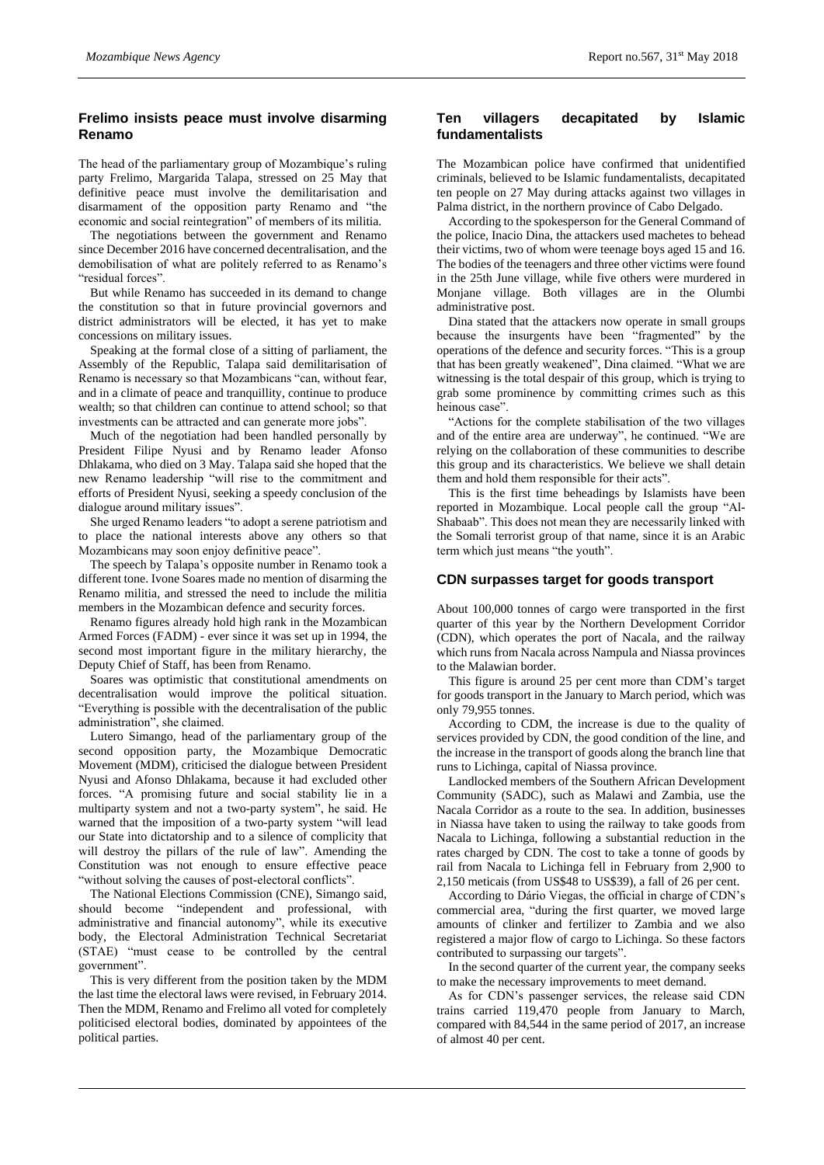# **Frelimo insists peace must involve disarming Renamo**

The head of the parliamentary group of Mozambique's ruling party Frelimo, Margarida Talapa, stressed on 25 May that definitive peace must involve the demilitarisation and disarmament of the opposition party Renamo and "the economic and social reintegration" of members of its militia.

The negotiations between the government and Renamo since December 2016 have concerned decentralisation, and the demobilisation of what are politely referred to as Renamo's "residual forces".

But while Renamo has succeeded in its demand to change the constitution so that in future provincial governors and district administrators will be elected, it has yet to make concessions on military issues.

Speaking at the formal close of a sitting of parliament, the Assembly of the Republic, Talapa said demilitarisation of Renamo is necessary so that Mozambicans "can, without fear, and in a climate of peace and tranquillity, continue to produce wealth; so that children can continue to attend school; so that investments can be attracted and can generate more jobs".

Much of the negotiation had been handled personally by President Filipe Nyusi and by Renamo leader Afonso Dhlakama, who died on 3 May. Talapa said she hoped that the new Renamo leadership "will rise to the commitment and efforts of President Nyusi, seeking a speedy conclusion of the dialogue around military issues".

She urged Renamo leaders "to adopt a serene patriotism and to place the national interests above any others so that Mozambicans may soon enjoy definitive peace".

The speech by Talapa's opposite number in Renamo took a different tone. Ivone Soares made no mention of disarming the Renamo militia, and stressed the need to include the militia members in the Mozambican defence and security forces.

Renamo figures already hold high rank in the Mozambican Armed Forces (FADM) - ever since it was set up in 1994, the second most important figure in the military hierarchy, the Deputy Chief of Staff, has been from Renamo.

Soares was optimistic that constitutional amendments on decentralisation would improve the political situation. "Everything is possible with the decentralisation of the public administration", she claimed.

Lutero Simango, head of the parliamentary group of the second opposition party, the Mozambique Democratic Movement (MDM), criticised the dialogue between President Nyusi and Afonso Dhlakama, because it had excluded other forces. "A promising future and social stability lie in a multiparty system and not a two-party system", he said. He warned that the imposition of a two-party system "will lead our State into dictatorship and to a silence of complicity that will destroy the pillars of the rule of law". Amending the Constitution was not enough to ensure effective peace "without solving the causes of post-electoral conflicts".

The National Elections Commission (CNE), Simango said, should become "independent and professional, with administrative and financial autonomy", while its executive body, the Electoral Administration Technical Secretariat (STAE) "must cease to be controlled by the central government".

This is very different from the position taken by the MDM the last time the electoral laws were revised, in February 2014. Then the MDM, Renamo and Frelimo all voted for completely politicised electoral bodies, dominated by appointees of the political parties.

#### **Ten villagers decapitated by Islamic fundamentalists**

The Mozambican police have confirmed that unidentified criminals, believed to be Islamic fundamentalists, decapitated ten people on 27 May during attacks against two villages in Palma district, in the northern province of Cabo Delgado.

According to the spokesperson for the General Command of the police, Inacio Dina, the attackers used machetes to behead their victims, two of whom were teenage boys aged 15 and 16. The bodies of the teenagers and three other victims were found in the 25th June village, while five others were murdered in Monjane village. Both villages are in the Olumbi administrative post.

Dina stated that the attackers now operate in small groups because the insurgents have been "fragmented" by the operations of the defence and security forces. "This is a group that has been greatly weakened", Dina claimed. "What we are witnessing is the total despair of this group, which is trying to grab some prominence by committing crimes such as this heinous case".

"Actions for the complete stabilisation of the two villages and of the entire area are underway", he continued. "We are relying on the collaboration of these communities to describe this group and its characteristics. We believe we shall detain them and hold them responsible for their acts".

This is the first time beheadings by Islamists have been reported in Mozambique. Local people call the group "Al-Shabaab". This does not mean they are necessarily linked with the Somali terrorist group of that name, since it is an Arabic term which just means "the youth".

#### **CDN surpasses target for goods transport**

About 100,000 tonnes of cargo were transported in the first quarter of this year by the Northern Development Corridor (CDN), which operates the port of Nacala, and the railway which runs from Nacala across Nampula and Niassa provinces to the Malawian border.

This figure is around 25 per cent more than CDM's target for goods transport in the January to March period, which was only 79,955 tonnes.

According to CDM, the increase is due to the quality of services provided by CDN, the good condition of the line, and the increase in the transport of goods along the branch line that runs to Lichinga, capital of Niassa province.

Landlocked members of the Southern African Development Community (SADC), such as Malawi and Zambia, use the Nacala Corridor as a route to the sea. In addition, businesses in Niassa have taken to using the railway to take goods from Nacala to Lichinga, following a substantial reduction in the rates charged by CDN. The cost to take a tonne of goods by rail from Nacala to Lichinga fell in February from 2,900 to 2,150 meticais (from US\$48 to US\$39), a fall of 26 per cent.

According to Dário Viegas, the official in charge of CDN's commercial area, "during the first quarter, we moved large amounts of clinker and fertilizer to Zambia and we also registered a major flow of cargo to Lichinga. So these factors contributed to surpassing our targets".

In the second quarter of the current year, the company seeks to make the necessary improvements to meet demand.

As for CDN's passenger services, the release said CDN trains carried 119,470 people from January to March, compared with 84,544 in the same period of 2017, an increase of almost 40 per cent.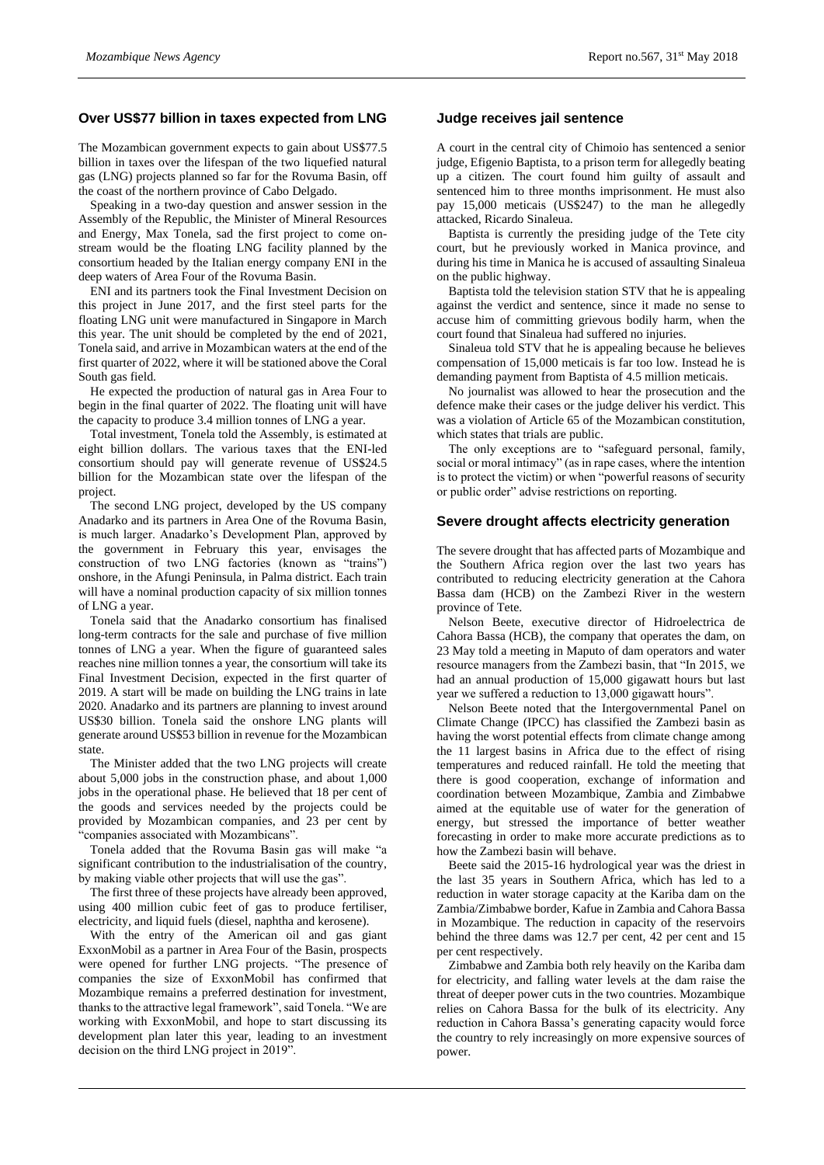#### **Over US\$77 billion in taxes expected from LNG**

The Mozambican government expects to gain about US\$77.5 billion in taxes over the lifespan of the two liquefied natural gas (LNG) projects planned so far for the Rovuma Basin, off the coast of the northern province of Cabo Delgado.

Speaking in a two-day question and answer session in the Assembly of the Republic, the Minister of Mineral Resources and Energy, Max Tonela, sad the first project to come onstream would be the floating LNG facility planned by the consortium headed by the Italian energy company ENI in the deep waters of Area Four of the Rovuma Basin.

ENI and its partners took the Final Investment Decision on this project in June 2017, and the first steel parts for the floating LNG unit were manufactured in Singapore in March this year. The unit should be completed by the end of 2021, Tonela said, and arrive in Mozambican waters at the end of the first quarter of 2022, where it will be stationed above the Coral South gas field.

He expected the production of natural gas in Area Four to begin in the final quarter of 2022. The floating unit will have the capacity to produce 3.4 million tonnes of LNG a year.

Total investment, Tonela told the Assembly, is estimated at eight billion dollars. The various taxes that the ENI-led consortium should pay will generate revenue of US\$24.5 billion for the Mozambican state over the lifespan of the project.

The second LNG project, developed by the US company Anadarko and its partners in Area One of the Rovuma Basin, is much larger. Anadarko's Development Plan, approved by the government in February this year, envisages the construction of two LNG factories (known as "trains") onshore, in the Afungi Peninsula, in Palma district. Each train will have a nominal production capacity of six million tonnes of LNG a year.

Tonela said that the Anadarko consortium has finalised long-term contracts for the sale and purchase of five million tonnes of LNG a year. When the figure of guaranteed sales reaches nine million tonnes a year, the consortium will take its Final Investment Decision, expected in the first quarter of 2019. A start will be made on building the LNG trains in late 2020. Anadarko and its partners are planning to invest around US\$30 billion. Tonela said the onshore LNG plants will generate around US\$53 billion in revenue for the Mozambican state.

The Minister added that the two LNG projects will create about 5,000 jobs in the construction phase, and about 1,000 jobs in the operational phase. He believed that 18 per cent of the goods and services needed by the projects could be provided by Mozambican companies, and 23 per cent by "companies associated with Mozambicans".

Tonela added that the Rovuma Basin gas will make "a significant contribution to the industrialisation of the country, by making viable other projects that will use the gas".

The first three of these projects have already been approved, using 400 million cubic feet of gas to produce fertiliser, electricity, and liquid fuels (diesel, naphtha and kerosene).

With the entry of the American oil and gas giant ExxonMobil as a partner in Area Four of the Basin, prospects were opened for further LNG projects. "The presence of companies the size of ExxonMobil has confirmed that Mozambique remains a preferred destination for investment, thanks to the attractive legal framework", said Tonela. "We are working with ExxonMobil, and hope to start discussing its development plan later this year, leading to an investment decision on the third LNG project in 2019".

### **Judge receives jail sentence**

A court in the central city of Chimoio has sentenced a senior judge, Efigenio Baptista, to a prison term for allegedly beating up a citizen. The court found him guilty of assault and sentenced him to three months imprisonment. He must also pay 15,000 meticais (US\$247) to the man he allegedly attacked, Ricardo Sinaleua.

Baptista is currently the presiding judge of the Tete city court, but he previously worked in Manica province, and during his time in Manica he is accused of assaulting Sinaleua on the public highway.

Baptista told the television station STV that he is appealing against the verdict and sentence, since it made no sense to accuse him of committing grievous bodily harm, when the court found that Sinaleua had suffered no injuries.

Sinaleua told STV that he is appealing because he believes compensation of 15,000 meticais is far too low. Instead he is demanding payment from Baptista of 4.5 million meticais.

No journalist was allowed to hear the prosecution and the defence make their cases or the judge deliver his verdict. This was a violation of Article 65 of the Mozambican constitution, which states that trials are public.

The only exceptions are to "safeguard personal, family, social or moral intimacy" (as in rape cases, where the intention is to protect the victim) or when "powerful reasons of security or public order" advise restrictions on reporting.

# **Severe drought affects electricity generation**

The severe drought that has affected parts of Mozambique and the Southern Africa region over the last two years has contributed to reducing electricity generation at the Cahora Bassa dam (HCB) on the Zambezi River in the western province of Tete.

Nelson Beete, executive director of Hidroelectrica de Cahora Bassa (HCB), the company that operates the dam, on 23 May told a meeting in Maputo of dam operators and water resource managers from the Zambezi basin, that "In 2015, we had an annual production of 15,000 gigawatt hours but last year we suffered a reduction to 13,000 gigawatt hours".

Nelson Beete noted that the Intergovernmental Panel on Climate Change (IPCC) has classified the Zambezi basin as having the worst potential effects from climate change among the 11 largest basins in Africa due to the effect of rising temperatures and reduced rainfall. He told the meeting that there is good cooperation, exchange of information and coordination between Mozambique, Zambia and Zimbabwe aimed at the equitable use of water for the generation of energy, but stressed the importance of better weather forecasting in order to make more accurate predictions as to how the Zambezi basin will behave.

Beete said the 2015-16 hydrological year was the driest in the last 35 years in Southern Africa, which has led to a reduction in water storage capacity at the Kariba dam on the Zambia/Zimbabwe border, Kafue in Zambia and Cahora Bassa in Mozambique. The reduction in capacity of the reservoirs behind the three dams was 12.7 per cent, 42 per cent and 15 per cent respectively.

Zimbabwe and Zambia both rely heavily on the Kariba dam for electricity, and falling water levels at the dam raise the threat of deeper power cuts in the two countries. Mozambique relies on Cahora Bassa for the bulk of its electricity. Any reduction in Cahora Bassa's generating capacity would force the country to rely increasingly on more expensive sources of power.